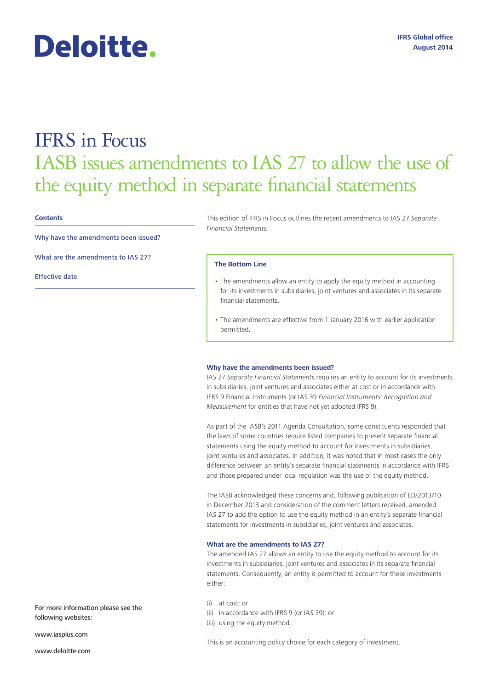# Deloitte.

## IFRS in Focus IASB issues amendments to IAS 27 to allow the use of the equity method in separate financial statements

#### **Contents**

Why have the amendments been issued?

What are the amendments to IAS 27?

Effective date

This edition of IFRS in Focus outlines the recent amendments to IAS 27 *Separate Financial Statements*.

#### **The Bottom Line**

- The amendments allow an entity to apply the equity method in accounting for its investments in subsidiaries, joint ventures and associates in its separate financial statements.
- The amendments are effective from 1 January 2016 with earlier application permitted.

#### **Why have the amendments been issued?**

IAS 27 *Separate Financial Statements* requires an entity to account for its investments in subsidiaries, joint ventures and associates either at cost or in accordance with IFRS 9 Financial Instruments (or IAS 39 *Financial Instruments: Recognition and Measurement* for entities that have not yet adopted IFRS 9).

As part of the IASB's 2011 Agenda Consultation, some constituents responded that the laws of some countries require listed companies to present separate financial statements using the equity method to account for investments in subsidiaries, joint ventures and associates. In addition, it was noted that in most cases the only difference between an entity's separate financial statements in accordance with IFRS and those prepared under local regulation was the use of the equity method.

The IASB acknowledged these concerns and, following publication of ED/2013/10 in December 2013 and consideration of the comment letters received, amended IAS 27 to add the option to use the equity method in an entity's separate financial statements for investments in subsidiaries, joint ventures and associates.

#### **What are the amendments to IAS 27?**

The amended IAS 27 allows an entity to use the equity method to account for its investments in subsidiaries, joint ventures and associates in its separate financial statements. Consequently, an entity is permitted to account for these investments either:

- (i) at cost; or
- (ii) in accordance with IFRS 9 (or IAS 39); or
- (iii) using the equity method.

For more information please see the following websites:

www.iasplus.com

www.deloitte.com

This is an accounting policy choice for each category of investment.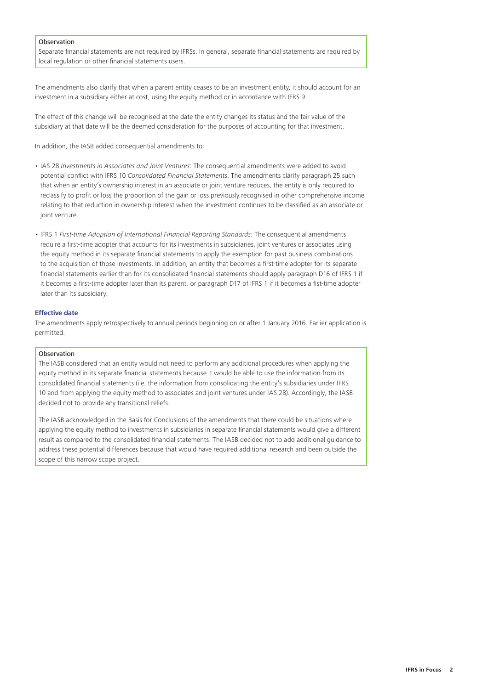### Observation

Separate financial statements are not required by IFRSs. In general, separate financial statements are required by local regulation or other financial statements users.

The amendments also clarify that when a parent entity ceases to be an investment entity, it should account for an investment in a subsidiary either at cost, using the equity method or in accordance with IFRS 9.

The effect of this change will be recognised at the date the entity changes its status and the fair value of the subsidiary at that date will be the deemed consideration for the purposes of accounting for that investment.

In addition, the IASB added consequential amendments to:

- IAS 28 *Investments in Associates and Joint Ventures*: The consequential amendments were added to avoid potential conflict with IFRS 10 *Consolidated Financial Statements*. The amendments clarify paragraph 25 such that when an entity's ownership interest in an associate or joint venture reduces, the entity is only required to reclassify to profit or loss the proportion of the gain or loss previously recognised in other comprehensive income relating to that reduction in ownership interest when the investment continues to be classified as an associate or joint venture.
- IFRS 1 *First-time Adoption of International Financial Reporting Standards*: The consequential amendments require a first-time adopter that accounts for its investments in subsidiaries, joint ventures or associates using the equity method in its separate financial statements to apply the exemption for past business combinations to the acquisition of those investments. In addition, an entity that becomes a first-time adopter for its separate financial statements earlier than for its consolidated financial statements should apply paragraph D16 of IFRS 1 if it becomes a first-time adopter later than its parent, or paragraph D17 of IFRS 1 if it becomes a fist-time adopter later than its subsidiary.

#### **Effective date**

The amendments apply retrospectively to annual periods beginning on or after 1 January 2016. Earlier application is permitted.

#### **Observation**

The IASB considered that an entity would not need to perform any additional procedures when applying the equity method in its separate financial statements because it would be able to use the information from its consolidated financial statements (i.e. the information from consolidating the entity's subsidiaries under IFRS 10 and from applying the equity method to associates and joint ventures under IAS 28). Accordingly, the IASB decided not to provide any transitional reliefs.

The IASB acknowledged in the Basis for Conclusions of the amendments that there could be situations where applying the equity method to investments in subsidiaries in separate financial statements would give a different result as compared to the consolidated financial statements. The IASB decided not to add additional guidance to address these potential differences because that would have required additional research and been outside the scope of this narrow scope project.